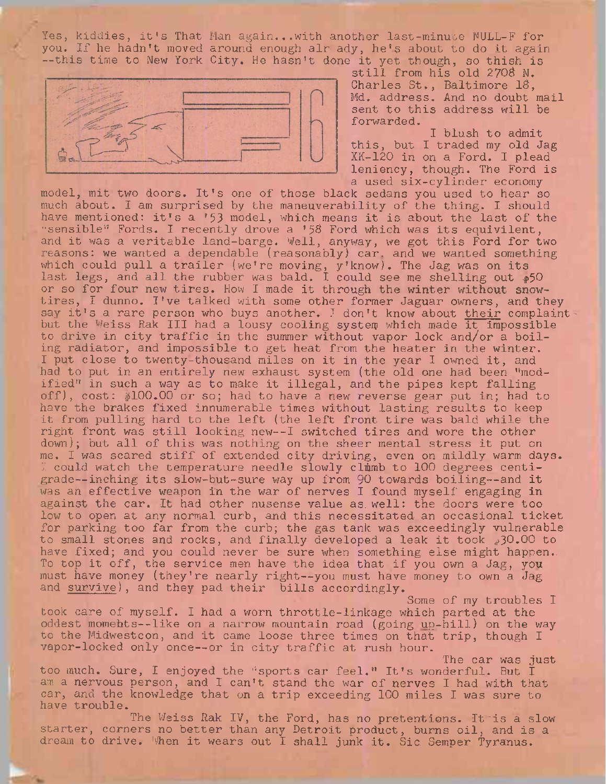Yes, kiddies, it's That Man again...with another last-minute NULL-F for you. If he hadn't moved around enough air ady, he's about to do it again --this time to New York City. He hasn't done it yet though, so thish is



still from his old 2708 N. Charles St., Baltimore IS, Md. address. And no doubt mail sent to this address will be forwarded.

I blush to admit this, but I traded my old Jag XK-120 in on a Ford. I plead leniency, though. The Ford is a used six-cylinder economy

model, mit two doors. It's one of those black sedans you used to hear so much about. I am surprised by the maneuverability of the thing. I should have mentioned: it's a '53 model, which means it is about the last of the "sensible" Fords. I recently drove a '58 Ford which was its equivilent, and it was a veritable land-barge. Well, anyway, we got this Ford for two reasons: we wanted a dependable (reasonably) car. and we wanted something which could pull <sup>a</sup> trailer (we're moving, y'know). The Jag was on its last legs, and all the rubber was bald. I could see me shelling out  $_{\rm I\!P}$ 50 or so for four new tires. How I made it through the winter without snowtires, I dunno. I've talked with some other former Jaguar owners, and they say it's a rare person who buys another. I don't know about <u>their</u> complaints but the Weiss Rak III had a lousy cooling system which made it impossible to drive in city traffic in the summer without vapor lock and/or a boiling radiator, and impossible to get heat from the heater in the winter. I put close to twenty-thousand miles on it in the year I owned it, and had to put in an entirely new exhaust system (the old one had been ''modified" in such a way as to make it illegal, and the pipes kept falling off), cost: \$100.00 or so; had to have a new reverse gear put in; had to have the brakes fixed innumerable times without lasting results to keep it from pulling hard to the left (the left front tire was bald while the right front was still looking new--I switched tires and wore the other down); but all of this was nothing on the sheer mental stress it put on me. I was scared stiff of extended city driving, even on mildly warm days. I could watch the temperature needle slowly climb to 100 degrees centigrade—inching its slow-but-sure way up from <sup>90</sup> towards boiling—and it was an effective weapon in the war of nerves I found myself engaging in against the car. It had other nusense value as. well: the doors were too low to open at any normal curb, and this necessitated an occasional ticket for parking too far from the curb; the gas tank was exceedingly vulnerable to small stones and rocks, and finally developed a leak it took  $30.00$  to have fixed; and you could never be sure when something else might happen.. To top it off, the service men have the idea that if you own a Jag, you must have money (they're nearly right—you must have money to own <sup>a</sup> Jag and survive), and they pad their bills accordingly.

Some of my troubles <sup>I</sup> took care of myself. I had a worn throttle-linkage which parted at the oddest momehts—like on <sup>a</sup> narrow mountain road (going up-hill) on the way to the Midwestcon, and it came loose three times on that trip, though I vapor-locked only once—or in city traffic at rush hour.

The car was just

too much. Sure, I enjoyed the "sports car feel." It's wonderful. But I am a nervous person, and I can't stand the war of nerves I had with that car, and the knowledge that on a trip exceeding 100 miles I was sure to have trouble.

The Weiss Rak IV, the Ford, has no pretentions. It is a slow starter, corners no better than any Detroit product, burns oil, and is a dream to drive. When it wears out I shall junk it. Sic Semper Tyranus.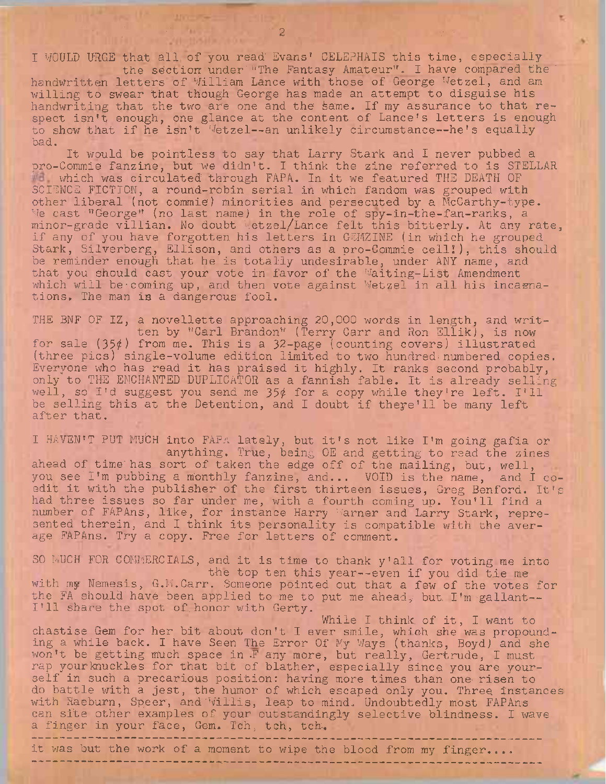I WOULD URGE that all of you read' Evans' CELEPHAIS this time, especially the section under "The Fantasy Amateur". <sup>I</sup> have compared the '

handwritten letters of William Lance with those of George Wetzel, and am willing to swear that though George has made an attempt to disguise his handwriting that the two are one and the same. If my assurance to that respect isn't enough, one glance at the content of Lance's letters is enough to show that if he isn't Wetzel--an unlikely circumstance--he's equally bad.

It would be pointless to say that Larry Stark and I never pubbed a pro-Commie fanzine, but "we didn't. I think the zine referred to is STELLAR which was circulated through FAPA. In it we featured THE DEATH OF SCIENCE FICTION;, a round-robin serial in which fandom was grouped with other liberal (not commie) minorities and'persecuted by a McCarthy-type. We cast■"George" (no last name) in the role of spy-in-the-fan-ranks, a minor-grade villian. No doubt Letzel/Lance felt this bitterly. At any rate, if any of you have forgotten his letters in GEMZINE (in which he grouped Stark, Silverberg, Ellison, and others as a pro-Commie cell!), this should be reminder enough that he is totally undesirable, under ANY name, and that you should cast your vote in favor of the Waiting-List Amendment which will be coming up, and then vote against Wetzel in all his incarnations. The man is a dangerous fool.

THE BNF OF IZ, a novellette approaching 20,000 words in length, and written by "Carl Brandon" (Terry Carr and Ron Ellik), is now for sale  $(35¢)$  from me. This is a 32-page (counting covers) illustrated (three pics) single-volume edition limited to two hundred:numbered copies. Everyone who has read it has praised it highly. It ranks second probably, only to THE ENCHANTED DUPLICATOR as a fannish fable. It is already selling well, so I'd suggest you send me 35¢ for a copy while they're left. I'll be selling this at the Detention, and <sup>I</sup> doubt if theye'll be many left after that.

<sup>I</sup> HAVEN'<sup>T</sup> PUT MUbH into FAPA lately, but it's not like I'm going gafia or . anything. True, being OE and getting to read the zines ahead of time'has sort of taken the edge off of the mailing, but, well, you see'I'm pubbing a monthly fanzine, and... VOID is the name, and I coedit it with the publisher of the first thirteen issues, Greg Benford. It's had three issues so far under me, with a fourth coming up. You'll find a number of FAPAns, like, for instance Harry Warner and Larry Stark, represented therein, and I think its personality is compatible with the average FAPAns. Try a copy. Free for letters of comment.

SO MUCH FOR COMMERCIALS, and it is time to thank y'all for voting me into the top ten this year--even if you did tie me with my Nemesis, G.M.Carr. Someone pointed out that a few of the votes for the FA should have been applied to me to put me ahead; but. I'm gallant--I'll share the spot of.honor with Gerty.

While I think of it, I want to chastise Gem for her bit about don't <sup>I</sup> ever smile, which she was propounding a while back. I have Seen The Error Of My Ways (thanks, Boyd) and she won't be getting much space in -F any more, but really, Gertrude, I must rap yourknuckles for that bit of blather, especially since you are yourself in such a precarious position: having more times than one-risen to do battle with a jest, the humor of which escaped only you. Three, instances with Raeburn, Speer, and Willis, leap to mind. Undoubtedly most FAPAns can site other examples of your outstandingly selective blindness. I wave a finger in your face, Gem. Tch, tch, tch.

it was but the work of a moment to wipe the blood from my finger....

**Marchan Market**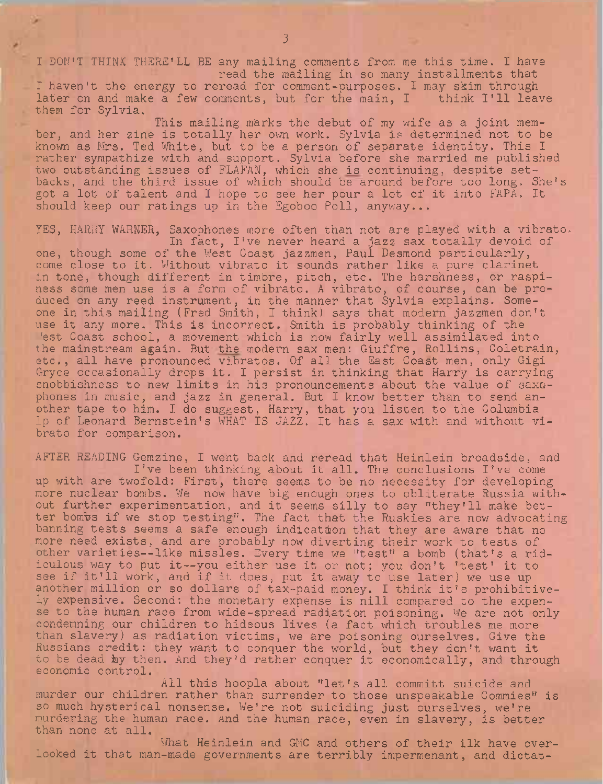<sup>I</sup> DON'T THINK THERE'LL BE any mailing comments from me this time. I have read the mailing in so many installments that

I haven't the energy to reread for comment-purposes. I may skim through later on and make a few comments, but for the main, I think I'll leave them for Sylvia.

This mailing marks the debut of my wife as a joint member, and her zine is totally her own work. Sylvia is determined not to be known as Mrs. Ted White, but to be a person of separate identity. This I rather sympathize with and support. Sylvia before she married me published two outstanding issues of FLAFAN, which she is continuing, despite setbacks, and the third issue of which should be around before too long. She's got a lot of talent and I hope to see her pour a lot of it into FAPA. It should keep our ratings up in the Egoboo Poll, anyway...

YES, HARRY WARNER, Saxophones more often than not are played with a vibrato. In fact, I've never heard a jazz sax totally devoid of one, though some of the West Coast jazzmen, Paul Desmond particularly, come close to it. Without vibrato it sounds rather like a pure clarinet in tone, though different in timbre, pitch, etc. The harshness, or raspiness some men use is a form of vibrato. A vibrato, of course, can be produced on any reed instrument, in the manner that Sylvia explains. Someone in this mailing (Fred Smith, I think) says that modern jazzmen don'<sup>t</sup> use it any more. This is incorrect. Smith is probably thinking of the Fest Coast school, a movement which is now fairly well assimilated into the mainstream again. But the modern sax men: Giuffre, Rollins, Coletrain, etc., all have pronounced vibratos. Of all the East Coast men, only Gigi Gryce occasionally drops it. I persist in thinking that Harry is carrying snobbishness to new limits in his pronouncements about the value of saxophones in music, and jazz in general. But I know better than to send another tape to him. I do suggest, Harry, that you listen to the Columbia Ip of Leonard Bernstein's WHAT IS JAZZ. It has a sax with and without vibrato for comparison.

AFTER READING Gemzine, I went back and reread that Heinlein broadside, and I've been thinking about it all. The conclusions I've come up with are twofold: First, there seems to be no necessity for developing more nuclear bombs. We now have big enough ones to obliterate Russia without further experimentation, and it seems silly to say "they'll make better bombs if we stop testing". The fact that the Huskies are now advocating banning tests seems a safe enough indication that they are aware that no more need exists, and are probably now diverting their work to tests of other varieties—like missies. Every time we "test" <sup>a</sup> bomb (that's <sup>a</sup> ridiculous way to put it—you either use it or not; you don't 'test' it to see if it'll work, and if it does, put it away to use later) we use up another million or so dollars of tax-paid money. I think it's prohibitively expensive. Second: the monetary expense is nill compared to the expense to the human race from wide-spread radiation poisoning. We are not only condemning our children to hideous lives (a fact which troubles me more than slavery) as radiation victims, we are poisoning ourselves. Give the Russians credit: they want to conquer the world, but they don't want it to be dead by then. And they'd rather conquer it economically, and through economic control.

All this hoopla about "let's all committ suicide and murder our children rather than surrender to those unspeakable Commies" is so much hysterical nonsense. We're not suiciding just ourselves, we're murdering the human race. And the human race, even in slavery, is better than none at all.

What Heinlein and GMC and others of their ilk have overlooked it that man-made governments are terribly impermenant, and dictat-